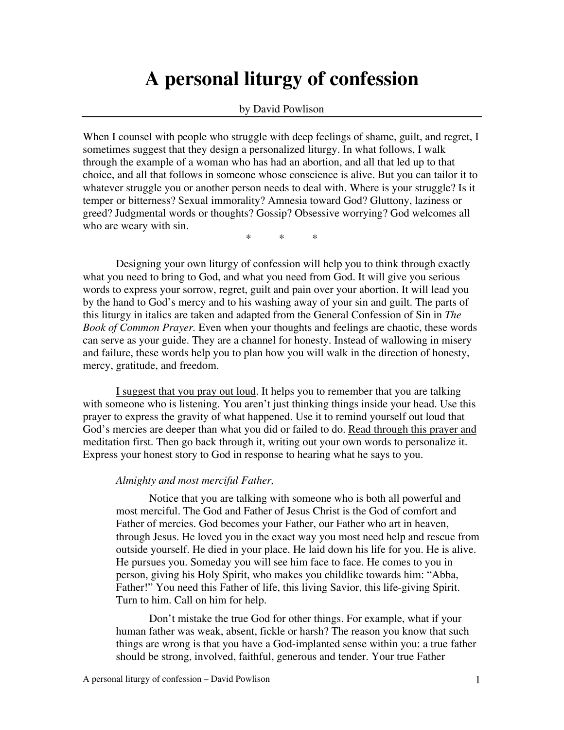# **A personal liturgy of confession**

#### by David Powlison

When I counsel with people who struggle with deep feelings of shame, guilt, and regret, I sometimes suggest that they design a personalized liturgy. In what follows, I walk through the example of a woman who has had an abortion, and all that led up to that choice, and all that follows in someone whose conscience is alive. But you can tailor it to whatever struggle you or another person needs to deal with. Where is your struggle? Is it temper or bitterness? Sexual immorality? Amnesia toward God? Gluttony, laziness or greed? Judgmental words or thoughts? Gossip? Obsessive worrying? God welcomes all who are weary with sin.

\* \* \*

Designing your own liturgy of confession will help you to think through exactly what you need to bring to God, and what you need from God. It will give you serious words to express your sorrow, regret, guilt and pain over your abortion. It will lead you by the hand to God's mercy and to his washing away of your sin and guilt. The parts of this liturgy in italics are taken and adapted from the General Confession of Sin in *The Book of Common Prayer.* Even when your thoughts and feelings are chaotic, these words can serve as your guide. They are a channel for honesty. Instead of wallowing in misery and failure, these words help you to plan how you will walk in the direction of honesty, mercy, gratitude, and freedom.

I suggest that you pray out loud. It helps you to remember that you are talking with someone who is listening. You aren't just thinking things inside your head. Use this prayer to express the gravity of what happened. Use it to remind yourself out loud that God's mercies are deeper than what you did or failed to do. Read through this prayer and meditation first. Then go back through it, writing out your own words to personalize it. Express your honest story to God in response to hearing what he says to you.

#### *Almighty and most merciful Father,*

Notice that you are talking with someone who is both all powerful and most merciful. The God and Father of Jesus Christ is the God of comfort and Father of mercies. God becomes your Father, our Father who art in heaven, through Jesus. He loved you in the exact way you most need help and rescue from outside yourself. He died in your place. He laid down his life for you. He is alive. He pursues you. Someday you will see him face to face. He comes to you in person, giving his Holy Spirit, who makes you childlike towards him: "Abba, Father!" You need this Father of life, this living Savior, this life-giving Spirit. Turn to him. Call on him for help.

Don't mistake the true God for other things. For example, what if your human father was weak, absent, fickle or harsh? The reason you know that such things are wrong is that you have a God-implanted sense within you: a true father should be strong, involved, faithful, generous and tender. Your true Father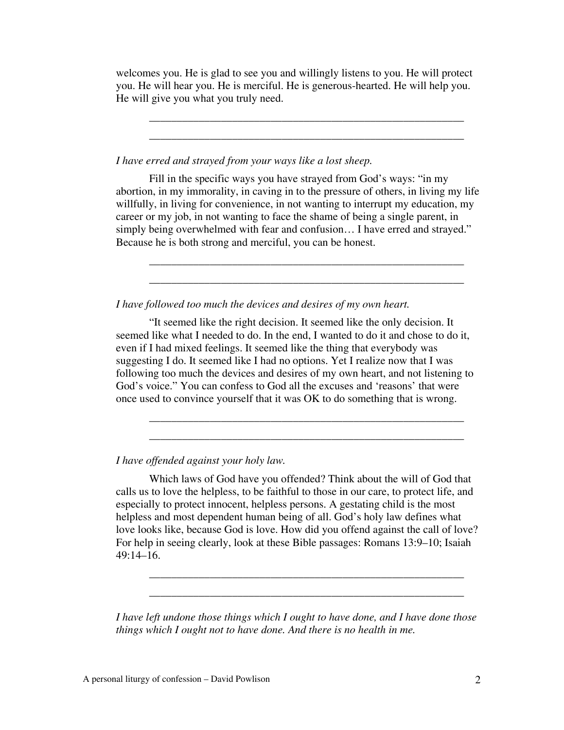welcomes you. He is glad to see you and willingly listens to you. He will protect you. He will hear you. He is merciful. He is generous-hearted. He will help you. He will give you what you truly need.

\_\_\_\_\_\_\_\_\_\_\_\_\_\_\_\_\_\_\_\_\_\_\_\_\_\_\_\_\_\_\_\_\_\_\_\_\_\_\_\_\_\_\_\_\_\_\_\_\_\_\_\_\_\_\_\_\_ \_\_\_\_\_\_\_\_\_\_\_\_\_\_\_\_\_\_\_\_\_\_\_\_\_\_\_\_\_\_\_\_\_\_\_\_\_\_\_\_\_\_\_\_\_\_\_\_\_\_\_\_\_\_\_\_\_

*I have erred and strayed from your ways like a lost sheep.* 

Fill in the specific ways you have strayed from God's ways: "in my abortion, in my immorality, in caving in to the pressure of others, in living my life willfully, in living for convenience, in not wanting to interrupt my education, my career or my job, in not wanting to face the shame of being a single parent, in simply being overwhelmed with fear and confusion… I have erred and strayed." Because he is both strong and merciful, you can be honest.

\_\_\_\_\_\_\_\_\_\_\_\_\_\_\_\_\_\_\_\_\_\_\_\_\_\_\_\_\_\_\_\_\_\_\_\_\_\_\_\_\_\_\_\_\_\_\_\_\_\_\_\_\_\_\_\_\_ \_\_\_\_\_\_\_\_\_\_\_\_\_\_\_\_\_\_\_\_\_\_\_\_\_\_\_\_\_\_\_\_\_\_\_\_\_\_\_\_\_\_\_\_\_\_\_\_\_\_\_\_\_\_\_\_\_

*I have followed too much the devices and desires of my own heart.*

"It seemed like the right decision. It seemed like the only decision. It seemed like what I needed to do. In the end, I wanted to do it and chose to do it, even if I had mixed feelings. It seemed like the thing that everybody was suggesting I do. It seemed like I had no options. Yet I realize now that I was following too much the devices and desires of my own heart, and not listening to God's voice." You can confess to God all the excuses and 'reasons' that were once used to convince yourself that it was OK to do something that is wrong.

\_\_\_\_\_\_\_\_\_\_\_\_\_\_\_\_\_\_\_\_\_\_\_\_\_\_\_\_\_\_\_\_\_\_\_\_\_\_\_\_\_\_\_\_\_\_\_\_\_\_\_\_\_\_\_\_\_ \_\_\_\_\_\_\_\_\_\_\_\_\_\_\_\_\_\_\_\_\_\_\_\_\_\_\_\_\_\_\_\_\_\_\_\_\_\_\_\_\_\_\_\_\_\_\_\_\_\_\_\_\_\_\_\_\_

*I have offended against your holy law.*

Which laws of God have you offended? Think about the will of God that calls us to love the helpless, to be faithful to those in our care, to protect life, and especially to protect innocent, helpless persons. A gestating child is the most helpless and most dependent human being of all. God's holy law defines what love looks like, because God is love. How did you offend against the call of love? For help in seeing clearly, look at these Bible passages: Romans 13:9–10; Isaiah 49:14–16.

*I have left undone those things which I ought to have done, and I have done those things which I ought not to have done. And there is no health in me.* 

\_\_\_\_\_\_\_\_\_\_\_\_\_\_\_\_\_\_\_\_\_\_\_\_\_\_\_\_\_\_\_\_\_\_\_\_\_\_\_\_\_\_\_\_\_\_\_\_\_\_\_\_\_\_\_\_\_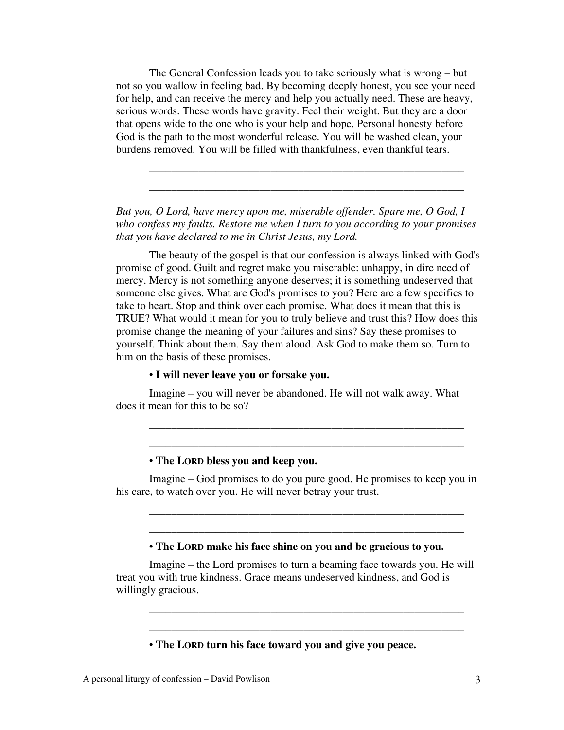The General Confession leads you to take seriously what is wrong – but not so you wallow in feeling bad. By becoming deeply honest, you see your need for help, and can receive the mercy and help you actually need. These are heavy, serious words. These words have gravity. Feel their weight. But they are a door that opens wide to the one who is your help and hope. Personal honesty before God is the path to the most wonderful release. You will be washed clean, your burdens removed. You will be filled with thankfulness, even thankful tears.

*But you, O Lord, have mercy upon me, miserable offender. Spare me, O God, I who confess my faults. Restore me when I turn to you according to your promises that you have declared to me in Christ Jesus, my Lord.* 

\_\_\_\_\_\_\_\_\_\_\_\_\_\_\_\_\_\_\_\_\_\_\_\_\_\_\_\_\_\_\_\_\_\_\_\_\_\_\_\_\_\_\_\_\_\_\_\_\_\_\_\_\_\_\_\_\_ \_\_\_\_\_\_\_\_\_\_\_\_\_\_\_\_\_\_\_\_\_\_\_\_\_\_\_\_\_\_\_\_\_\_\_\_\_\_\_\_\_\_\_\_\_\_\_\_\_\_\_\_\_\_\_\_\_

The beauty of the gospel is that our confession is always linked with God's promise of good. Guilt and regret make you miserable: unhappy, in dire need of mercy. Mercy is not something anyone deserves; it is something undeserved that someone else gives. What are God's promises to you? Here are a few specifics to take to heart. Stop and think over each promise. What does it mean that this is TRUE? What would it mean for you to truly believe and trust this? How does this promise change the meaning of your failures and sins? Say these promises to yourself. Think about them. Say them aloud. Ask God to make them so. Turn to him on the basis of these promises.

## • **I will never leave you or forsake you.**

Imagine – you will never be abandoned. He will not walk away. What does it mean for this to be so?

## • **The LORD bless you and keep you.**

Imagine – God promises to do you pure good. He promises to keep you in his care, to watch over you. He will never betray your trust.

\_\_\_\_\_\_\_\_\_\_\_\_\_\_\_\_\_\_\_\_\_\_\_\_\_\_\_\_\_\_\_\_\_\_\_\_\_\_\_\_\_\_\_\_\_\_\_\_\_\_\_\_\_\_\_\_\_ \_\_\_\_\_\_\_\_\_\_\_\_\_\_\_\_\_\_\_\_\_\_\_\_\_\_\_\_\_\_\_\_\_\_\_\_\_\_\_\_\_\_\_\_\_\_\_\_\_\_\_\_\_\_\_\_\_

\_\_\_\_\_\_\_\_\_\_\_\_\_\_\_\_\_\_\_\_\_\_\_\_\_\_\_\_\_\_\_\_\_\_\_\_\_\_\_\_\_\_\_\_\_\_\_\_\_\_\_\_\_\_\_\_\_ \_\_\_\_\_\_\_\_\_\_\_\_\_\_\_\_\_\_\_\_\_\_\_\_\_\_\_\_\_\_\_\_\_\_\_\_\_\_\_\_\_\_\_\_\_\_\_\_\_\_\_\_\_\_\_\_\_

### • **The LORD make his face shine on you and be gracious to you.**

Imagine – the Lord promises to turn a beaming face towards you. He will treat you with true kindness. Grace means undeserved kindness, and God is willingly gracious.

\_\_\_\_\_\_\_\_\_\_\_\_\_\_\_\_\_\_\_\_\_\_\_\_\_\_\_\_\_\_\_\_\_\_\_\_\_\_\_\_\_\_\_\_\_\_\_\_\_\_\_\_\_\_\_\_\_ \_\_\_\_\_\_\_\_\_\_\_\_\_\_\_\_\_\_\_\_\_\_\_\_\_\_\_\_\_\_\_\_\_\_\_\_\_\_\_\_\_\_\_\_\_\_\_\_\_\_\_\_\_\_\_\_\_

## • **The LORD turn his face toward you and give you peace.**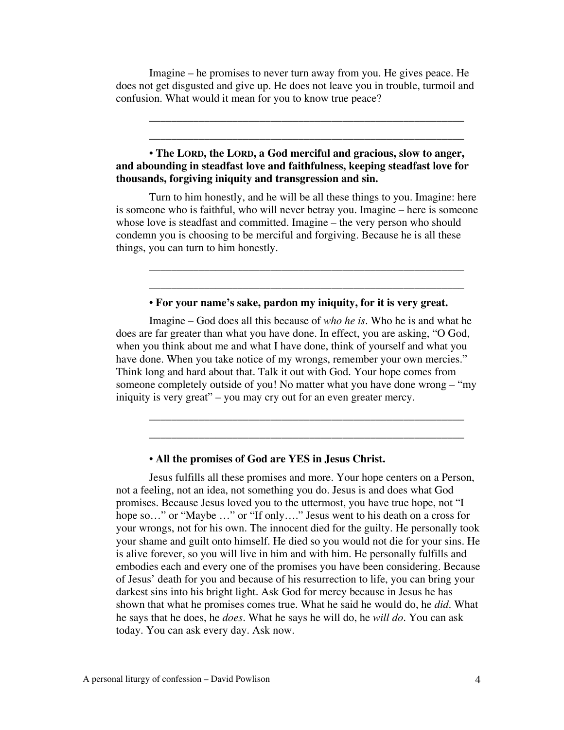Imagine – he promises to never turn away from you. He gives peace. He does not get disgusted and give up. He does not leave you in trouble, turmoil and confusion. What would it mean for you to know true peace?

\_\_\_\_\_\_\_\_\_\_\_\_\_\_\_\_\_\_\_\_\_\_\_\_\_\_\_\_\_\_\_\_\_\_\_\_\_\_\_\_\_\_\_\_\_\_\_\_\_\_\_\_\_\_\_\_\_ \_\_\_\_\_\_\_\_\_\_\_\_\_\_\_\_\_\_\_\_\_\_\_\_\_\_\_\_\_\_\_\_\_\_\_\_\_\_\_\_\_\_\_\_\_\_\_\_\_\_\_\_\_\_\_\_\_

## • **The LORD, the LORD, a God merciful and gracious, slow to anger, and abounding in steadfast love and faithfulness, keeping steadfast love for thousands, forgiving iniquity and transgression and sin.**

Turn to him honestly, and he will be all these things to you. Imagine: here is someone who is faithful, who will never betray you. Imagine – here is someone whose love is steadfast and committed. Imagine – the very person who should condemn you is choosing to be merciful and forgiving. Because he is all these things, you can turn to him honestly.

### • **For your name's sake, pardon my iniquity, for it is very great.**

\_\_\_\_\_\_\_\_\_\_\_\_\_\_\_\_\_\_\_\_\_\_\_\_\_\_\_\_\_\_\_\_\_\_\_\_\_\_\_\_\_\_\_\_\_\_\_\_\_\_\_\_\_\_\_\_\_ \_\_\_\_\_\_\_\_\_\_\_\_\_\_\_\_\_\_\_\_\_\_\_\_\_\_\_\_\_\_\_\_\_\_\_\_\_\_\_\_\_\_\_\_\_\_\_\_\_\_\_\_\_\_\_\_\_

Imagine – God does all this because of *who he is*. Who he is and what he does are far greater than what you have done. In effect, you are asking, "O God, when you think about me and what I have done, think of yourself and what you have done. When you take notice of my wrongs, remember your own mercies." Think long and hard about that. Talk it out with God. Your hope comes from someone completely outside of you! No matter what you have done wrong – "my iniquity is very great" – you may cry out for an even greater mercy.

\_\_\_\_\_\_\_\_\_\_\_\_\_\_\_\_\_\_\_\_\_\_\_\_\_\_\_\_\_\_\_\_\_\_\_\_\_\_\_\_\_\_\_\_\_\_\_\_\_\_\_\_\_\_\_\_\_ \_\_\_\_\_\_\_\_\_\_\_\_\_\_\_\_\_\_\_\_\_\_\_\_\_\_\_\_\_\_\_\_\_\_\_\_\_\_\_\_\_\_\_\_\_\_\_\_\_\_\_\_\_\_\_\_\_

### • **All the promises of God are YES in Jesus Christ.**

Jesus fulfills all these promises and more. Your hope centers on a Person, not a feeling, not an idea, not something you do. Jesus is and does what God promises. Because Jesus loved you to the uttermost, you have true hope, not "I hope so..." or "Maybe ..." or "If only...." Jesus went to his death on a cross for your wrongs, not for his own. The innocent died for the guilty. He personally took your shame and guilt onto himself. He died so you would not die for your sins. He is alive forever, so you will live in him and with him. He personally fulfills and embodies each and every one of the promises you have been considering. Because of Jesus' death for you and because of his resurrection to life, you can bring your darkest sins into his bright light. Ask God for mercy because in Jesus he has shown that what he promises comes true. What he said he would do, he *did*. What he says that he does, he *does*. What he says he will do, he *will do*. You can ask today. You can ask every day. Ask now.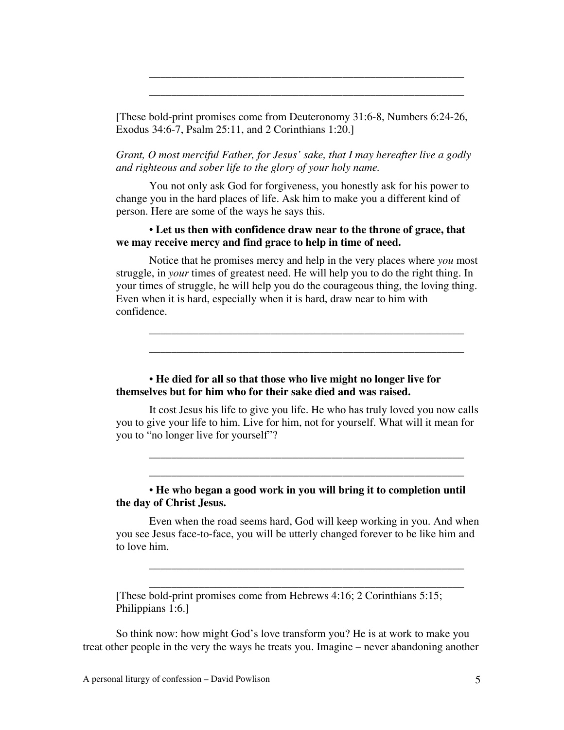[These bold-print promises come from Deuteronomy 31:6-8, Numbers 6:24-26, Exodus 34:6-7, Psalm 25:11, and 2 Corinthians 1:20.]

\_\_\_\_\_\_\_\_\_\_\_\_\_\_\_\_\_\_\_\_\_\_\_\_\_\_\_\_\_\_\_\_\_\_\_\_\_\_\_\_\_\_\_\_\_\_\_\_\_\_\_\_\_\_\_\_\_ \_\_\_\_\_\_\_\_\_\_\_\_\_\_\_\_\_\_\_\_\_\_\_\_\_\_\_\_\_\_\_\_\_\_\_\_\_\_\_\_\_\_\_\_\_\_\_\_\_\_\_\_\_\_\_\_\_

*Grant, O most merciful Father, for Jesus' sake, that I may hereafter live a godly and righteous and sober life to the glory of your holy name.*

You not only ask God for forgiveness, you honestly ask for his power to change you in the hard places of life. Ask him to make you a different kind of person. Here are some of the ways he says this.

## • **Let us then with confidence draw near to the throne of grace, that we may receive mercy and find grace to help in time of need.**

Notice that he promises mercy and help in the very places where *you* most struggle, in *your* times of greatest need. He will help you to do the right thing. In your times of struggle, he will help you do the courageous thing, the loving thing. Even when it is hard, especially when it is hard, draw near to him with confidence.

\_\_\_\_\_\_\_\_\_\_\_\_\_\_\_\_\_\_\_\_\_\_\_\_\_\_\_\_\_\_\_\_\_\_\_\_\_\_\_\_\_\_\_\_\_\_\_\_\_\_\_\_\_\_\_\_\_ \_\_\_\_\_\_\_\_\_\_\_\_\_\_\_\_\_\_\_\_\_\_\_\_\_\_\_\_\_\_\_\_\_\_\_\_\_\_\_\_\_\_\_\_\_\_\_\_\_\_\_\_\_\_\_\_\_

• **He died for all so that those who live might no longer live for themselves but for him who for their sake died and was raised.**

It cost Jesus his life to give you life. He who has truly loved you now calls you to give your life to him. Live for him, not for yourself. What will it mean for you to "no longer live for yourself"?

\_\_\_\_\_\_\_\_\_\_\_\_\_\_\_\_\_\_\_\_\_\_\_\_\_\_\_\_\_\_\_\_\_\_\_\_\_\_\_\_\_\_\_\_\_\_\_\_\_\_\_\_\_\_\_\_\_ \_\_\_\_\_\_\_\_\_\_\_\_\_\_\_\_\_\_\_\_\_\_\_\_\_\_\_\_\_\_\_\_\_\_\_\_\_\_\_\_\_\_\_\_\_\_\_\_\_\_\_\_\_\_\_\_\_

• **He who began a good work in you will bring it to completion until the day of Christ Jesus.**

Even when the road seems hard, God will keep working in you. And when you see Jesus face-to-face, you will be utterly changed forever to be like him and to love him.

\_\_\_\_\_\_\_\_\_\_\_\_\_\_\_\_\_\_\_\_\_\_\_\_\_\_\_\_\_\_\_\_\_\_\_\_\_\_\_\_\_\_\_\_\_\_\_\_\_\_\_\_\_\_\_\_\_ \_\_\_\_\_\_\_\_\_\_\_\_\_\_\_\_\_\_\_\_\_\_\_\_\_\_\_\_\_\_\_\_\_\_\_\_\_\_\_\_\_\_\_\_\_\_\_\_\_\_\_\_\_\_\_\_\_

[These bold-print promises come from Hebrews 4:16; 2 Corinthians 5:15; Philippians 1:6.]

So think now: how might God's love transform you? He is at work to make you treat other people in the very the ways he treats you. Imagine – never abandoning another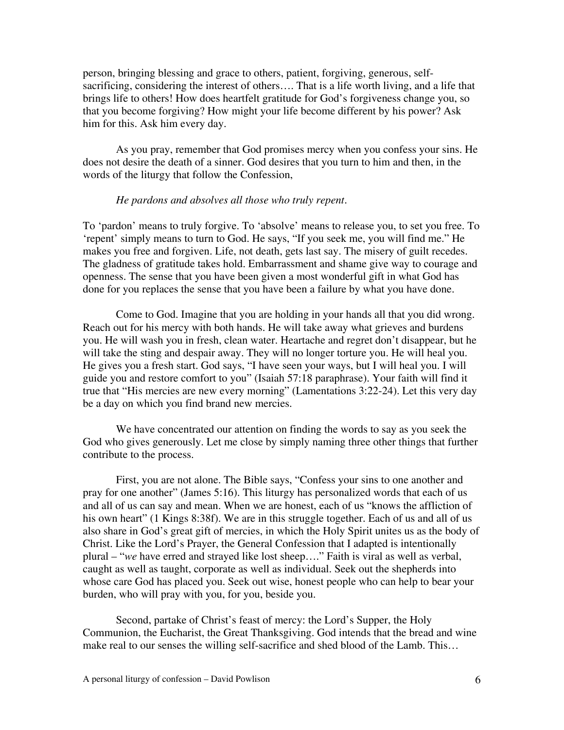person, bringing blessing and grace to others, patient, forgiving, generous, selfsacrificing, considering the interest of others…. That is a life worth living, and a life that brings life to others! How does heartfelt gratitude for God's forgiveness change you, so that you become forgiving? How might your life become different by his power? Ask him for this. Ask him every day.

As you pray, remember that God promises mercy when you confess your sins. He does not desire the death of a sinner. God desires that you turn to him and then, in the words of the liturgy that follow the Confession,

## *He pardons and absolves all those who truly repent*.

To 'pardon' means to truly forgive. To 'absolve' means to release you, to set you free. To 'repent' simply means to turn to God. He says, "If you seek me, you will find me." He makes you free and forgiven. Life, not death, gets last say. The misery of guilt recedes. The gladness of gratitude takes hold. Embarrassment and shame give way to courage and openness. The sense that you have been given a most wonderful gift in what God has done for you replaces the sense that you have been a failure by what you have done.

Come to God. Imagine that you are holding in your hands all that you did wrong. Reach out for his mercy with both hands. He will take away what grieves and burdens you. He will wash you in fresh, clean water. Heartache and regret don't disappear, but he will take the sting and despair away. They will no longer torture you. He will heal you. He gives you a fresh start. God says, "I have seen your ways, but I will heal you. I will guide you and restore comfort to you" (Isaiah 57:18 paraphrase). Your faith will find it true that "His mercies are new every morning" (Lamentations 3:22-24). Let this very day be a day on which you find brand new mercies.

We have concentrated our attention on finding the words to say as you seek the God who gives generously. Let me close by simply naming three other things that further contribute to the process.

First, you are not alone. The Bible says, "Confess your sins to one another and pray for one another" (James 5:16). This liturgy has personalized words that each of us and all of us can say and mean. When we are honest, each of us "knows the affliction of his own heart" (1 Kings 8:38f). We are in this struggle together. Each of us and all of us also share in God's great gift of mercies, in which the Holy Spirit unites us as the body of Christ. Like the Lord's Prayer, the General Confession that I adapted is intentionally plural – "*we* have erred and strayed like lost sheep…." Faith is viral as well as verbal, caught as well as taught, corporate as well as individual. Seek out the shepherds into whose care God has placed you. Seek out wise, honest people who can help to bear your burden, who will pray with you, for you, beside you.

Second, partake of Christ's feast of mercy: the Lord's Supper, the Holy Communion, the Eucharist, the Great Thanksgiving. God intends that the bread and wine make real to our senses the willing self-sacrifice and shed blood of the Lamb. This…